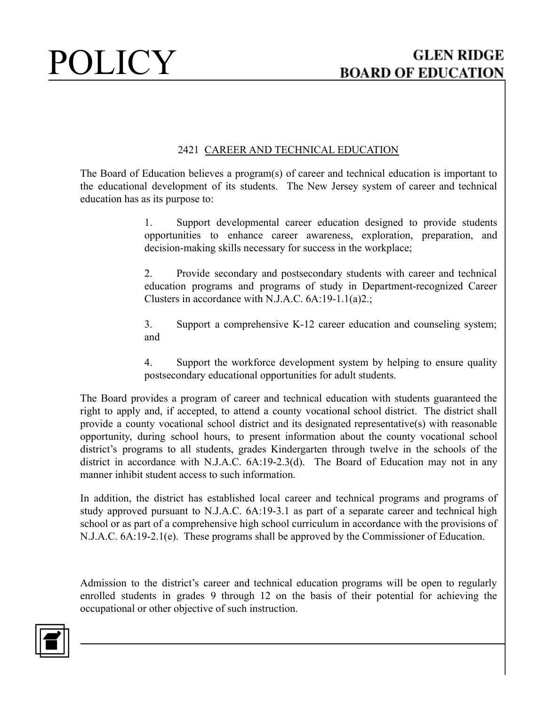## POLICY

## **GLEN RIDGE BOARD OF EDUCATION**

#### 2421 CAREER AND TECHNICAL EDUCATION

The Board of Education believes a program(s) of career and technical education is important to the educational development of its students. The New Jersey system of career and technical education has as its purpose to:

> 1. Support developmental career education designed to provide students opportunities to enhance career awareness, exploration, preparation, and decision-making skills necessary for success in the workplace;

> 2. Provide secondary and postsecondary students with career and technical education programs and programs of study in Department-recognized Career Clusters in accordance with N.J.A.C. 6A:19-1.1(a)2.;

> 3. Support a comprehensive K-12 career education and counseling system; and

> 4. Support the workforce development system by helping to ensure quality postsecondary educational opportunities for adult students.

The Board provides a program of career and technical education with students guaranteed the right to apply and, if accepted, to attend a county vocational school district. The district shall provide a county vocational school district and its designated representative(s) with reasonable opportunity, during school hours, to present information about the county vocational school district's programs to all students, grades Kindergarten through twelve in the schools of the district in accordance with N.J.A.C. 6A:19-2.3(d). The Board of Education may not in any manner inhibit student access to such information

In addition, the district has established local career and technical programs and programs of study approved pursuant to N.J.A.C. 6A:19-3.1 as part of a separate career and technical high school or as part of a comprehensive high school curriculum in accordance with the provisions of N.J.A.C. 6A:19-2.1(e). These programs shall be approved by the Commissioner of Education.

Admission to the district's career and technical education programs will be open to regularly enrolled students in grades 9 through 12 on the basis of their potential for achieving the occupational or other objective of such instruction.